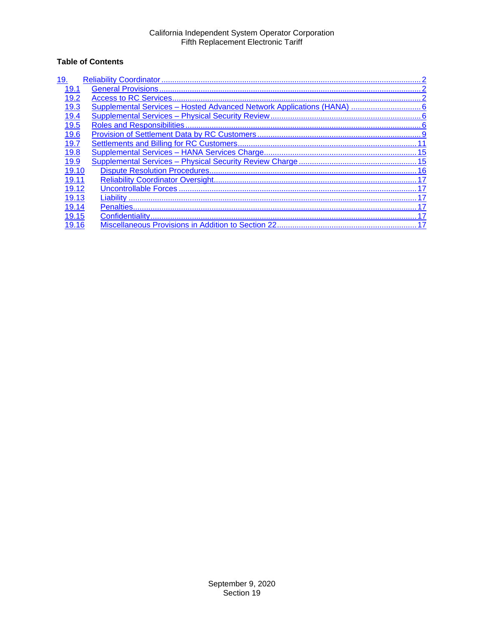# **Table of Contents**

| 19.   |
|-------|
| 19.1  |
| 19.2  |
| 19.3  |
| 19.4  |
| 19.5  |
| 19.6  |
| 19.7  |
| 19.8  |
| 19.9  |
| 19.10 |
| 19.11 |
| 19.12 |
| 19.13 |
| 19.14 |
| 19.15 |
|       |
|       |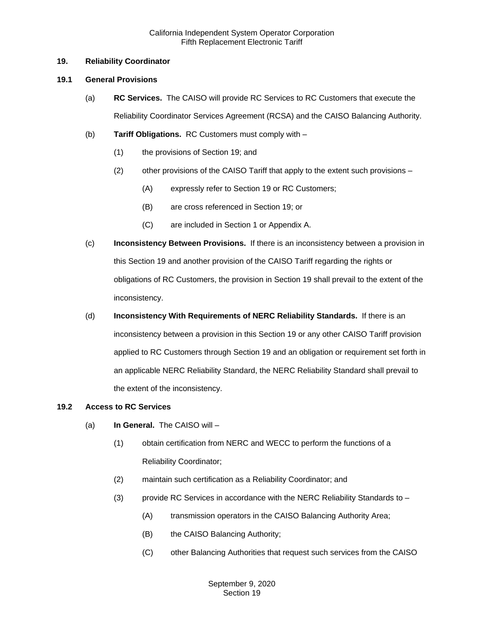## <span id="page-1-0"></span>**19. Reliability Coordinator**

### <span id="page-1-1"></span>**19.1 General Provisions**

- (a) **RC Services.** The CAISO will provide RC Services to RC Customers that execute the Reliability Coordinator Services Agreement (RCSA) and the CAISO Balancing Authority.
- (b) **Tariff Obligations.** RC Customers must comply with
	- (1) the provisions of Section 19; and
	- (2) other provisions of the CAISO Tariff that apply to the extent such provisions
		- (A) expressly refer to Section 19 or RC Customers;
		- (B) are cross referenced in Section 19; or
		- (C) are included in Section 1 or Appendix A.
- (c) **Inconsistency Between Provisions.** If there is an inconsistency between a provision in this Section 19 and another provision of the CAISO Tariff regarding the rights or obligations of RC Customers, the provision in Section 19 shall prevail to the extent of the inconsistency.
- (d) **Inconsistency With Requirements of NERC Reliability Standards.** If there is an inconsistency between a provision in this Section 19 or any other CAISO Tariff provision applied to RC Customers through Section 19 and an obligation or requirement set forth in an applicable NERC Reliability Standard, the NERC Reliability Standard shall prevail to the extent of the inconsistency.

## <span id="page-1-2"></span>**19.2 Access to RC Services**

- (a) **In General.** The CAISO will
	- (1) obtain certification from NERC and WECC to perform the functions of a Reliability Coordinator;
	- (2) maintain such certification as a Reliability Coordinator; and
	- (3) provide RC Services in accordance with the NERC Reliability Standards to
		- (A) transmission operators in the CAISO Balancing Authority Area;
		- (B) the CAISO Balancing Authority;
		- (C) other Balancing Authorities that request such services from the CAISO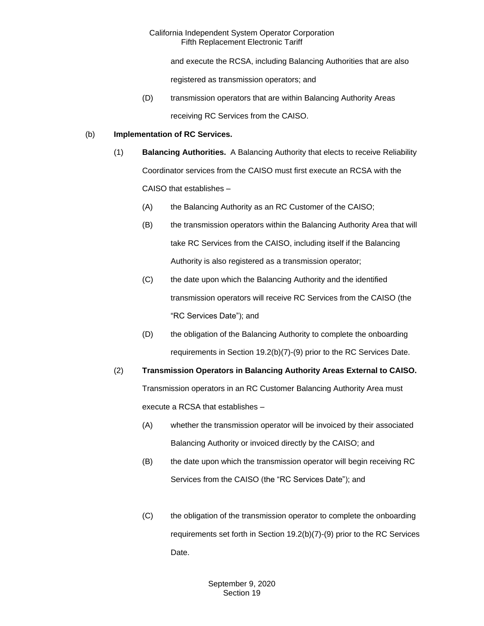and execute the RCSA, including Balancing Authorities that are also

registered as transmission operators; and

(D) transmission operators that are within Balancing Authority Areas receiving RC Services from the CAISO.

## (b) **Implementation of RC Services.**

- (1) **Balancing Authorities.** A Balancing Authority that elects to receive Reliability Coordinator services from the CAISO must first execute an RCSA with the CAISO that establishes –
	- (A) the Balancing Authority as an RC Customer of the CAISO;
	- (B) the transmission operators within the Balancing Authority Area that will take RC Services from the CAISO, including itself if the Balancing Authority is also registered as a transmission operator;
	- (C) the date upon which the Balancing Authority and the identified transmission operators will receive RC Services from the CAISO (the "RC Services Date"); and
	- (D) the obligation of the Balancing Authority to complete the onboarding requirements in Section 19.2(b)(7)-(9) prior to the RC Services Date.

(2) **Transmission Operators in Balancing Authority Areas External to CAISO.**  Transmission operators in an RC Customer Balancing Authority Area must execute a RCSA that establishes –

- (A) whether the transmission operator will be invoiced by their associated Balancing Authority or invoiced directly by the CAISO; and
- (B) the date upon which the transmission operator will begin receiving RC Services from the CAISO (the "RC Services Date"); and
- (C) the obligation of the transmission operator to complete the onboarding requirements set forth in Section 19.2(b)(7)-(9) prior to the RC Services Date.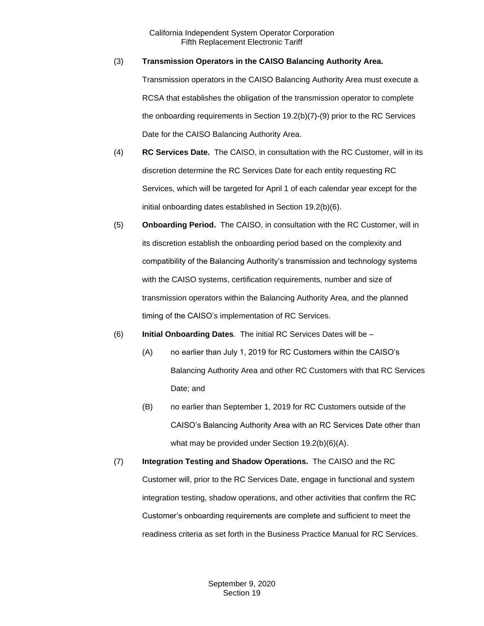## (3) **Transmission Operators in the CAISO Balancing Authority Area.**

Transmission operators in the CAISO Balancing Authority Area must execute a RCSA that establishes the obligation of the transmission operator to complete the onboarding requirements in Section 19.2(b)(7)-(9) prior to the RC Services Date for the CAISO Balancing Authority Area.

- (4) **RC Services Date.** The CAISO, in consultation with the RC Customer, will in its discretion determine the RC Services Date for each entity requesting RC Services, which will be targeted for April 1 of each calendar year except for the initial onboarding dates established in Section 19.2(b)(6).
- (5) **Onboarding Period.** The CAISO, in consultation with the RC Customer, will in its discretion establish the onboarding period based on the complexity and compatibility of the Balancing Authority's transmission and technology systems with the CAISO systems, certification requirements, number and size of transmission operators within the Balancing Authority Area, and the planned timing of the CAISO's implementation of RC Services.
- (6) **Initial Onboarding Dates**. The initial RC Services Dates will be
	- (A) no earlier than July 1, 2019 for RC Customers within the CAISO's Balancing Authority Area and other RC Customers with that RC Services Date; and
	- (B) no earlier than September 1, 2019 for RC Customers outside of the CAISO's Balancing Authority Area with an RC Services Date other than what may be provided under Section 19.2(b)(6)(A).
- (7) **Integration Testing and Shadow Operations.** The CAISO and the RC Customer will, prior to the RC Services Date, engage in functional and system integration testing, shadow operations, and other activities that confirm the RC Customer's onboarding requirements are complete and sufficient to meet the readiness criteria as set forth in the Business Practice Manual for RC Services.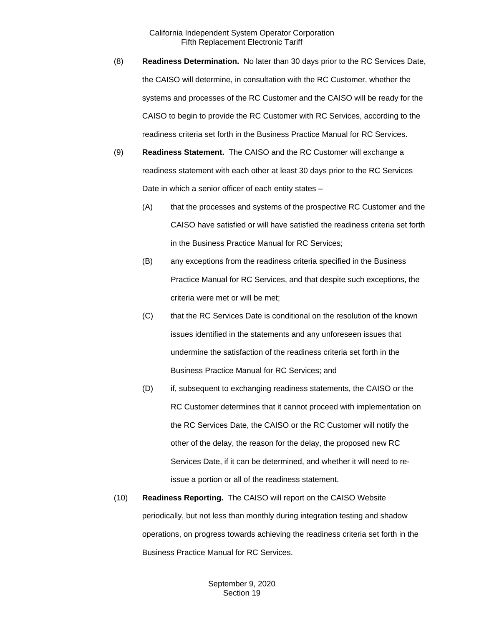- (8) **Readiness Determination.** No later than 30 days prior to the RC Services Date, the CAISO will determine, in consultation with the RC Customer, whether the systems and processes of the RC Customer and the CAISO will be ready for the CAISO to begin to provide the RC Customer with RC Services, according to the readiness criteria set forth in the Business Practice Manual for RC Services.
- (9) **Readiness Statement.** The CAISO and the RC Customer will exchange a readiness statement with each other at least 30 days prior to the RC Services Date in which a senior officer of each entity states –
	- (A) that the processes and systems of the prospective RC Customer and the CAISO have satisfied or will have satisfied the readiness criteria set forth in the Business Practice Manual for RC Services;
	- (B) any exceptions from the readiness criteria specified in the Business Practice Manual for RC Services, and that despite such exceptions, the criteria were met or will be met;
	- (C) that the RC Services Date is conditional on the resolution of the known issues identified in the statements and any unforeseen issues that undermine the satisfaction of the readiness criteria set forth in the Business Practice Manual for RC Services; and
	- (D) if, subsequent to exchanging readiness statements, the CAISO or the RC Customer determines that it cannot proceed with implementation on the RC Services Date, the CAISO or the RC Customer will notify the other of the delay, the reason for the delay, the proposed new RC Services Date, if it can be determined, and whether it will need to reissue a portion or all of the readiness statement.
- (10) **Readiness Reporting.** The CAISO will report on the CAISO Website periodically, but not less than monthly during integration testing and shadow operations, on progress towards achieving the readiness criteria set forth in the Business Practice Manual for RC Services.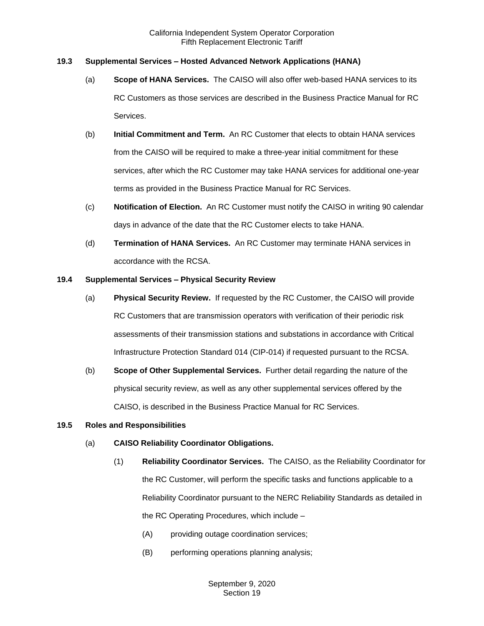## <span id="page-5-0"></span>**19.3 Supplemental Services – Hosted Advanced Network Applications (HANA)**

- (a) **Scope of HANA Services.** The CAISO will also offer web-based HANA services to its RC Customers as those services are described in the Business Practice Manual for RC Services.
- (b) **Initial Commitment and Term.** An RC Customer that elects to obtain HANA services from the CAISO will be required to make a three-year initial commitment for these services, after which the RC Customer may take HANA services for additional one-year terms as provided in the Business Practice Manual for RC Services.
- (c) **Notification of Election.** An RC Customer must notify the CAISO in writing 90 calendar days in advance of the date that the RC Customer elects to take HANA.
- (d) **Termination of HANA Services.** An RC Customer may terminate HANA services in accordance with the RCSA.

#### <span id="page-5-1"></span>**19.4 Supplemental Services – Physical Security Review**

- (a) **Physical Security Review.** If requested by the RC Customer, the CAISO will provide RC Customers that are transmission operators with verification of their periodic risk assessments of their transmission stations and substations in accordance with Critical Infrastructure Protection Standard 014 (CIP-014) if requested pursuant to the RCSA.
- (b) **Scope of Other Supplemental Services.** Further detail regarding the nature of the physical security review, as well as any other supplemental services offered by the CAISO, is described in the Business Practice Manual for RC Services.

#### <span id="page-5-2"></span>**19.5 Roles and Responsibilities**

- (a) **CAISO Reliability Coordinator Obligations.**
	- (1) **Reliability Coordinator Services.** The CAISO, as the Reliability Coordinator for the RC Customer, will perform the specific tasks and functions applicable to a Reliability Coordinator pursuant to the NERC Reliability Standards as detailed in the RC Operating Procedures, which include –
		- (A) providing outage coordination services;
		- (B) performing operations planning analysis;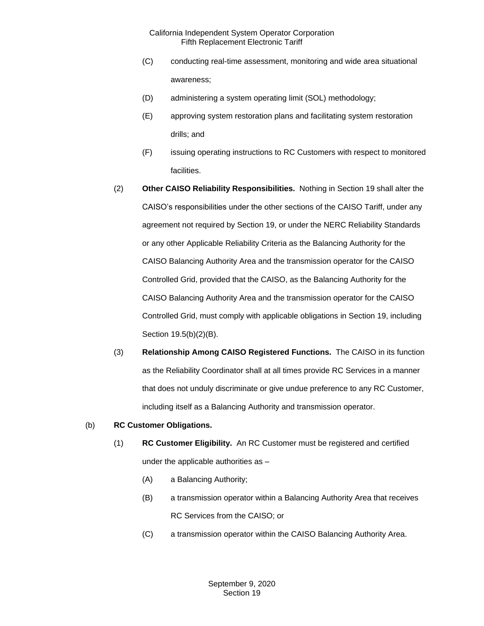- (C) conducting real-time assessment, monitoring and wide area situational awareness;
- (D) administering a system operating limit (SOL) methodology;
- (E) approving system restoration plans and facilitating system restoration drills; and
- (F) issuing operating instructions to RC Customers with respect to monitored facilities.
- (2) **Other CAISO Reliability Responsibilities.** Nothing in Section 19 shall alter the CAISO's responsibilities under the other sections of the CAISO Tariff, under any agreement not required by Section 19, or under the NERC Reliability Standards or any other Applicable Reliability Criteria as the Balancing Authority for the CAISO Balancing Authority Area and the transmission operator for the CAISO Controlled Grid, provided that the CAISO, as the Balancing Authority for the CAISO Balancing Authority Area and the transmission operator for the CAISO Controlled Grid, must comply with applicable obligations in Section 19, including Section 19.5(b)(2)(B).
- (3) **Relationship Among CAISO Registered Functions.** The CAISO in its function as the Reliability Coordinator shall at all times provide RC Services in a manner that does not unduly discriminate or give undue preference to any RC Customer, including itself as a Balancing Authority and transmission operator.

#### (b) **RC Customer Obligations.**

- (1) **RC Customer Eligibility.** An RC Customer must be registered and certified under the applicable authorities as –
	- (A) a Balancing Authority;
	- (B) a transmission operator within a Balancing Authority Area that receives RC Services from the CAISO; or
	- (C) a transmission operator within the CAISO Balancing Authority Area.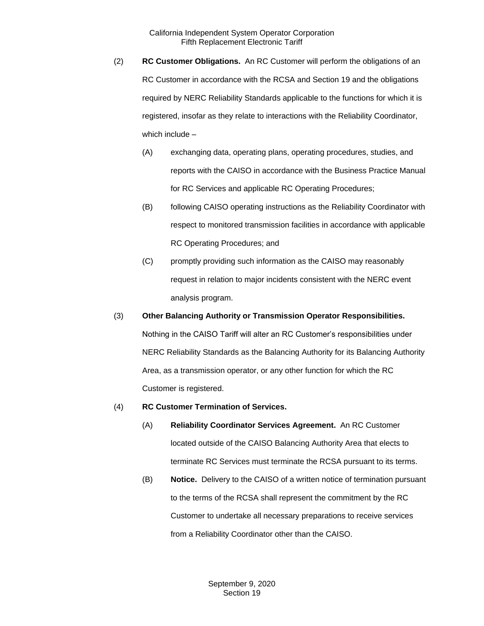- (2) **RC Customer Obligations.** An RC Customer will perform the obligations of an RC Customer in accordance with the RCSA and Section 19 and the obligations required by NERC Reliability Standards applicable to the functions for which it is registered, insofar as they relate to interactions with the Reliability Coordinator, which include –
	- (A) exchanging data, operating plans, operating procedures, studies, and reports with the CAISO in accordance with the Business Practice Manual for RC Services and applicable RC Operating Procedures;
	- (B) following CAISO operating instructions as the Reliability Coordinator with respect to monitored transmission facilities in accordance with applicable RC Operating Procedures; and
	- (C) promptly providing such information as the CAISO may reasonably request in relation to major incidents consistent with the NERC event analysis program.
- (3) **Other Balancing Authority or Transmission Operator Responsibilities.** Nothing in the CAISO Tariff will alter an RC Customer's responsibilities under NERC Reliability Standards as the Balancing Authority for its Balancing Authority Area, as a transmission operator, or any other function for which the RC Customer is registered.
- (4) **RC Customer Termination of Services.**
	- (A) **Reliability Coordinator Services Agreement.** An RC Customer located outside of the CAISO Balancing Authority Area that elects to terminate RC Services must terminate the RCSA pursuant to its terms.
	- (B) **Notice.** Delivery to the CAISO of a written notice of termination pursuant to the terms of the RCSA shall represent the commitment by the RC Customer to undertake all necessary preparations to receive services from a Reliability Coordinator other than the CAISO.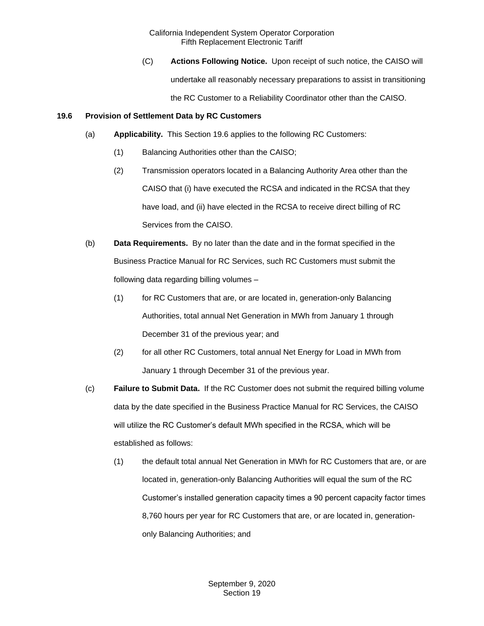(C) **Actions Following Notice.** Upon receipt of such notice, the CAISO will undertake all reasonably necessary preparations to assist in transitioning the RC Customer to a Reliability Coordinator other than the CAISO.

### <span id="page-8-0"></span>**19.6 Provision of Settlement Data by RC Customers**

- (a) **Applicability.** This Section 19.6 applies to the following RC Customers:
	- (1) Balancing Authorities other than the CAISO;
	- (2) Transmission operators located in a Balancing Authority Area other than the CAISO that (i) have executed the RCSA and indicated in the RCSA that they have load, and (ii) have elected in the RCSA to receive direct billing of RC Services from the CAISO.
- (b) **Data Requirements.** By no later than the date and in the format specified in the Business Practice Manual for RC Services, such RC Customers must submit the following data regarding billing volumes –
	- (1) for RC Customers that are, or are located in, generation-only Balancing Authorities, total annual Net Generation in MWh from January 1 through December 31 of the previous year; and
	- (2) for all other RC Customers, total annual Net Energy for Load in MWh from January 1 through December 31 of the previous year.
- (c) **Failure to Submit Data.** If the RC Customer does not submit the required billing volume data by the date specified in the Business Practice Manual for RC Services, the CAISO will utilize the RC Customer's default MWh specified in the RCSA, which will be established as follows:
	- (1) the default total annual Net Generation in MWh for RC Customers that are, or are located in, generation-only Balancing Authorities will equal the sum of the RC Customer's installed generation capacity times a 90 percent capacity factor times 8,760 hours per year for RC Customers that are, or are located in, generationonly Balancing Authorities; and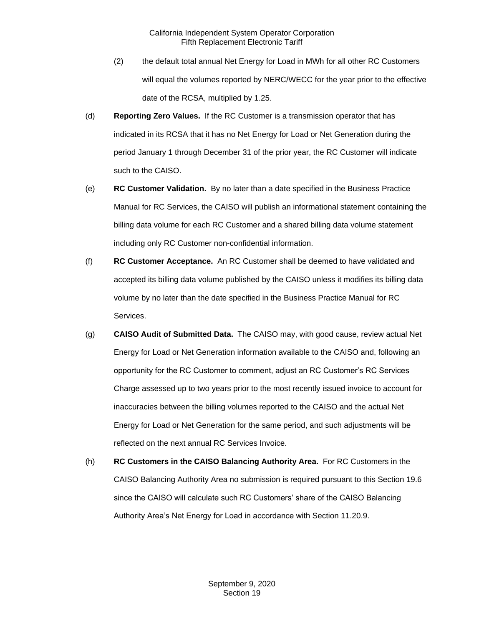- (2) the default total annual Net Energy for Load in MWh for all other RC Customers will equal the volumes reported by NERC/WECC for the year prior to the effective date of the RCSA, multiplied by 1.25.
- (d) **Reporting Zero Values.** If the RC Customer is a transmission operator that has indicated in its RCSA that it has no Net Energy for Load or Net Generation during the period January 1 through December 31 of the prior year, the RC Customer will indicate such to the CAISO.
- (e) **RC Customer Validation.** By no later than a date specified in the Business Practice Manual for RC Services, the CAISO will publish an informational statement containing the billing data volume for each RC Customer and a shared billing data volume statement including only RC Customer non-confidential information.
- (f) **RC Customer Acceptance.** An RC Customer shall be deemed to have validated and accepted its billing data volume published by the CAISO unless it modifies its billing data volume by no later than the date specified in the Business Practice Manual for RC Services.
- (g) **CAISO Audit of Submitted Data.** The CAISO may, with good cause, review actual Net Energy for Load or Net Generation information available to the CAISO and, following an opportunity for the RC Customer to comment, adjust an RC Customer's RC Services Charge assessed up to two years prior to the most recently issued invoice to account for inaccuracies between the billing volumes reported to the CAISO and the actual Net Energy for Load or Net Generation for the same period, and such adjustments will be reflected on the next annual RC Services Invoice.
- (h) **RC Customers in the CAISO Balancing Authority Area.** For RC Customers in the CAISO Balancing Authority Area no submission is required pursuant to this Section 19.6 since the CAISO will calculate such RC Customers' share of the CAISO Balancing Authority Area's Net Energy for Load in accordance with Section 11.20.9.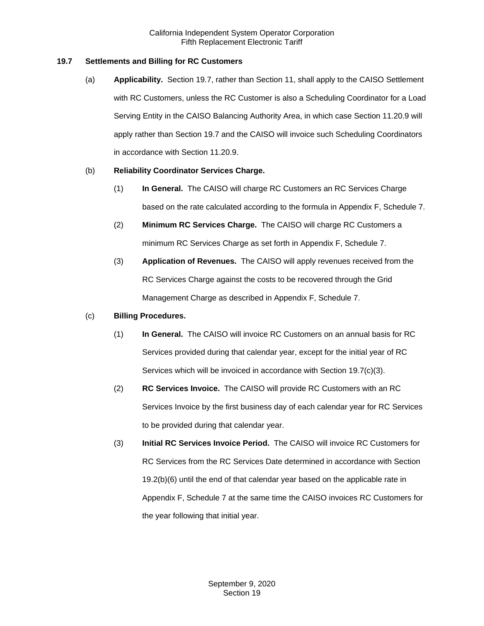## <span id="page-10-0"></span>**19.7 Settlements and Billing for RC Customers**

(a) **Applicability.** Section 19.7, rather than Section 11, shall apply to the CAISO Settlement with RC Customers, unless the RC Customer is also a Scheduling Coordinator for a Load Serving Entity in the CAISO Balancing Authority Area, in which case Section 11.20.9 will apply rather than Section 19.7 and the CAISO will invoice such Scheduling Coordinators in accordance with Section 11.20.9.

## (b) **Reliability Coordinator Services Charge.**

- (1) **In General.** The CAISO will charge RC Customers an RC Services Charge based on the rate calculated according to the formula in Appendix F, Schedule 7.
- (2) **Minimum RC Services Charge.** The CAISO will charge RC Customers a minimum RC Services Charge as set forth in Appendix F, Schedule 7.
- (3) **Application of Revenues.** The CAISO will apply revenues received from the RC Services Charge against the costs to be recovered through the Grid Management Charge as described in Appendix F, Schedule 7.

### (c) **Billing Procedures.**

- (1) **In General.** The CAISO will invoice RC Customers on an annual basis for RC Services provided during that calendar year, except for the initial year of RC Services which will be invoiced in accordance with Section 19.7(c)(3).
- (2) **RC Services Invoice.** The CAISO will provide RC Customers with an RC Services Invoice by the first business day of each calendar year for RC Services to be provided during that calendar year.
- (3) **Initial RC Services Invoice Period.** The CAISO will invoice RC Customers for RC Services from the RC Services Date determined in accordance with Section 19.2(b)(6) until the end of that calendar year based on the applicable rate in Appendix F, Schedule 7 at the same time the CAISO invoices RC Customers for the year following that initial year.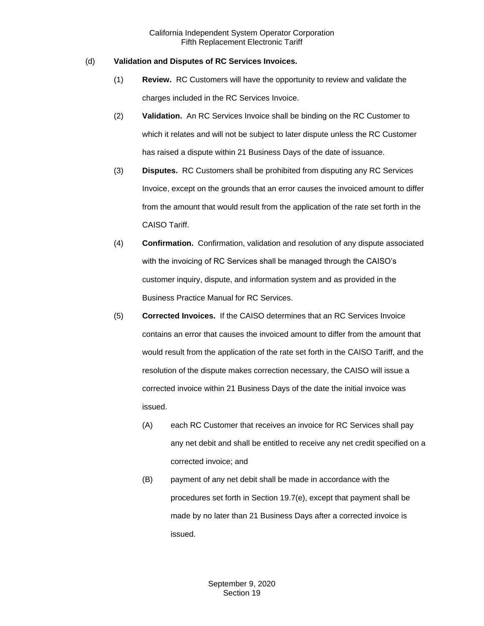## (d) **Validation and Disputes of RC Services Invoices.**

- (1) **Review.** RC Customers will have the opportunity to review and validate the charges included in the RC Services Invoice.
- (2) **Validation.** An RC Services Invoice shall be binding on the RC Customer to which it relates and will not be subject to later dispute unless the RC Customer has raised a dispute within 21 Business Days of the date of issuance.
- (3) **Disputes.** RC Customers shall be prohibited from disputing any RC Services Invoice, except on the grounds that an error causes the invoiced amount to differ from the amount that would result from the application of the rate set forth in the CAISO Tariff.
- (4) **Confirmation.** Confirmation, validation and resolution of any dispute associated with the invoicing of RC Services shall be managed through the CAISO's customer inquiry, dispute, and information system and as provided in the Business Practice Manual for RC Services.
- (5) **Corrected Invoices.** If the CAISO determines that an RC Services Invoice contains an error that causes the invoiced amount to differ from the amount that would result from the application of the rate set forth in the CAISO Tariff, and the resolution of the dispute makes correction necessary, the CAISO will issue a corrected invoice within 21 Business Days of the date the initial invoice was issued.
	- (A) each RC Customer that receives an invoice for RC Services shall pay any net debit and shall be entitled to receive any net credit specified on a corrected invoice; and
	- (B) payment of any net debit shall be made in accordance with the procedures set forth in Section 19.7(e), except that payment shall be made by no later than 21 Business Days after a corrected invoice is issued.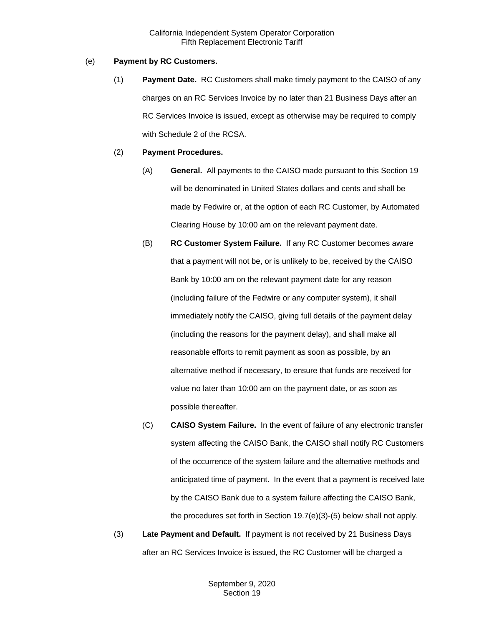## (e) **Payment by RC Customers.**

(1) **Payment Date.** RC Customers shall make timely payment to the CAISO of any charges on an RC Services Invoice by no later than 21 Business Days after an RC Services Invoice is issued, except as otherwise may be required to comply with Schedule 2 of the RCSA.

#### (2) **Payment Procedures.**

- (A) **General.** All payments to the CAISO made pursuant to this Section 19 will be denominated in United States dollars and cents and shall be made by Fedwire or, at the option of each RC Customer, by Automated Clearing House by 10:00 am on the relevant payment date.
- (B) **RC Customer System Failure.** If any RC Customer becomes aware that a payment will not be, or is unlikely to be, received by the CAISO Bank by 10:00 am on the relevant payment date for any reason (including failure of the Fedwire or any computer system), it shall immediately notify the CAISO, giving full details of the payment delay (including the reasons for the payment delay), and shall make all reasonable efforts to remit payment as soon as possible, by an alternative method if necessary, to ensure that funds are received for value no later than 10:00 am on the payment date, or as soon as possible thereafter.
- (C) **CAISO System Failure.** In the event of failure of any electronic transfer system affecting the CAISO Bank, the CAISO shall notify RC Customers of the occurrence of the system failure and the alternative methods and anticipated time of payment. In the event that a payment is received late by the CAISO Bank due to a system failure affecting the CAISO Bank, the procedures set forth in Section 19.7(e)(3)-(5) below shall not apply.
- (3) **Late Payment and Default.** If payment is not received by 21 Business Days after an RC Services Invoice is issued, the RC Customer will be charged a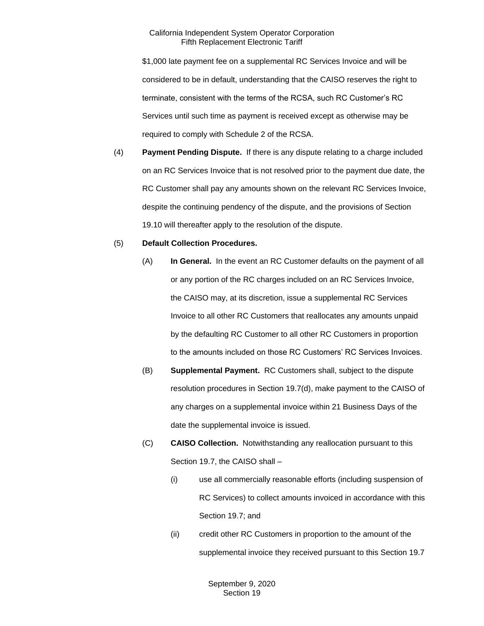\$1,000 late payment fee on a supplemental RC Services Invoice and will be considered to be in default, understanding that the CAISO reserves the right to terminate, consistent with the terms of the RCSA, such RC Customer's RC Services until such time as payment is received except as otherwise may be required to comply with Schedule 2 of the RCSA.

(4) **Payment Pending Dispute.** If there is any dispute relating to a charge included on an RC Services Invoice that is not resolved prior to the payment due date, the RC Customer shall pay any amounts shown on the relevant RC Services Invoice, despite the continuing pendency of the dispute, and the provisions of Section 19.10 will thereafter apply to the resolution of the dispute.

#### (5) **Default Collection Procedures.**

- (A) **In General.** In the event an RC Customer defaults on the payment of all or any portion of the RC charges included on an RC Services Invoice, the CAISO may, at its discretion, issue a supplemental RC Services Invoice to all other RC Customers that reallocates any amounts unpaid by the defaulting RC Customer to all other RC Customers in proportion to the amounts included on those RC Customers' RC Services Invoices.
- (B) **Supplemental Payment.** RC Customers shall, subject to the dispute resolution procedures in Section 19.7(d), make payment to the CAISO of any charges on a supplemental invoice within 21 Business Days of the date the supplemental invoice is issued.
- (C) **CAISO Collection.** Notwithstanding any reallocation pursuant to this Section 19.7, the CAISO shall –
	- (i) use all commercially reasonable efforts (including suspension of RC Services) to collect amounts invoiced in accordance with this Section 19.7; and
	- (ii) credit other RC Customers in proportion to the amount of the supplemental invoice they received pursuant to this Section 19.7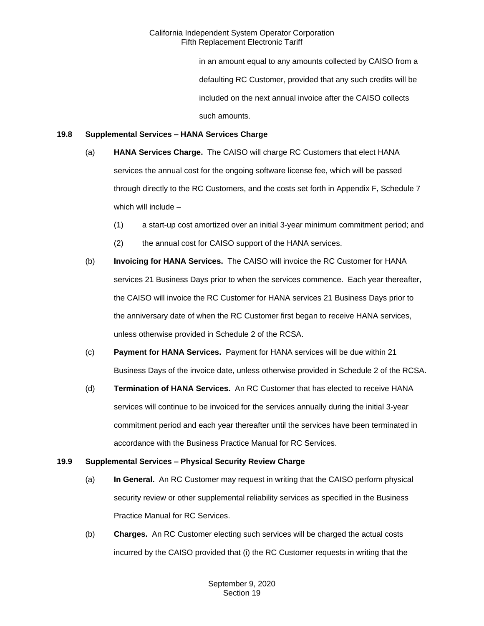in an amount equal to any amounts collected by CAISO from a defaulting RC Customer, provided that any such credits will be included on the next annual invoice after the CAISO collects such amounts.

### <span id="page-14-0"></span>**19.8 Supplemental Services – HANA Services Charge**

- (a) **HANA Services Charge.** The CAISO will charge RC Customers that elect HANA services the annual cost for the ongoing software license fee, which will be passed through directly to the RC Customers, and the costs set forth in Appendix F, Schedule 7 which will include –
	- (1) a start-up cost amortized over an initial 3-year minimum commitment period; and
	- (2) the annual cost for CAISO support of the HANA services.
- (b) **Invoicing for HANA Services.** The CAISO will invoice the RC Customer for HANA services 21 Business Days prior to when the services commence. Each year thereafter, the CAISO will invoice the RC Customer for HANA services 21 Business Days prior to the anniversary date of when the RC Customer first began to receive HANA services, unless otherwise provided in Schedule 2 of the RCSA.
- (c) **Payment for HANA Services.** Payment for HANA services will be due within 21 Business Days of the invoice date, unless otherwise provided in Schedule 2 of the RCSA.
- (d) **Termination of HANA Services.** An RC Customer that has elected to receive HANA services will continue to be invoiced for the services annually during the initial 3-year commitment period and each year thereafter until the services have been terminated in accordance with the Business Practice Manual for RC Services.

## <span id="page-14-1"></span>**19.9 Supplemental Services – Physical Security Review Charge**

- (a) **In General.** An RC Customer may request in writing that the CAISO perform physical security review or other supplemental reliability services as specified in the Business Practice Manual for RC Services.
- (b) **Charges.** An RC Customer electing such services will be charged the actual costs incurred by the CAISO provided that (i) the RC Customer requests in writing that the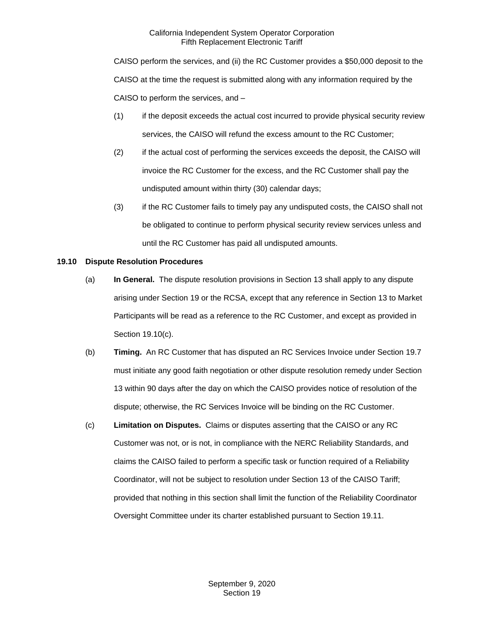CAISO perform the services, and (ii) the RC Customer provides a \$50,000 deposit to the CAISO at the time the request is submitted along with any information required by the CAISO to perform the services, and –

- (1) if the deposit exceeds the actual cost incurred to provide physical security review services, the CAISO will refund the excess amount to the RC Customer;
- (2) if the actual cost of performing the services exceeds the deposit, the CAISO will invoice the RC Customer for the excess, and the RC Customer shall pay the undisputed amount within thirty (30) calendar days;
- (3) if the RC Customer fails to timely pay any undisputed costs, the CAISO shall not be obligated to continue to perform physical security review services unless and until the RC Customer has paid all undisputed amounts.

## <span id="page-15-0"></span>**19.10 Dispute Resolution Procedures**

- (a) **In General.** The dispute resolution provisions in Section 13 shall apply to any dispute arising under Section 19 or the RCSA, except that any reference in Section 13 to Market Participants will be read as a reference to the RC Customer, and except as provided in Section 19.10(c).
- (b) **Timing.** An RC Customer that has disputed an RC Services Invoice under Section 19.7 must initiate any good faith negotiation or other dispute resolution remedy under Section 13 within 90 days after the day on which the CAISO provides notice of resolution of the dispute; otherwise, the RC Services Invoice will be binding on the RC Customer.
- (c) **Limitation on Disputes.** Claims or disputes asserting that the CAISO or any RC Customer was not, or is not, in compliance with the NERC Reliability Standards, and claims the CAISO failed to perform a specific task or function required of a Reliability Coordinator, will not be subject to resolution under Section 13 of the CAISO Tariff; provided that nothing in this section shall limit the function of the Reliability Coordinator Oversight Committee under its charter established pursuant to Section 19.11.